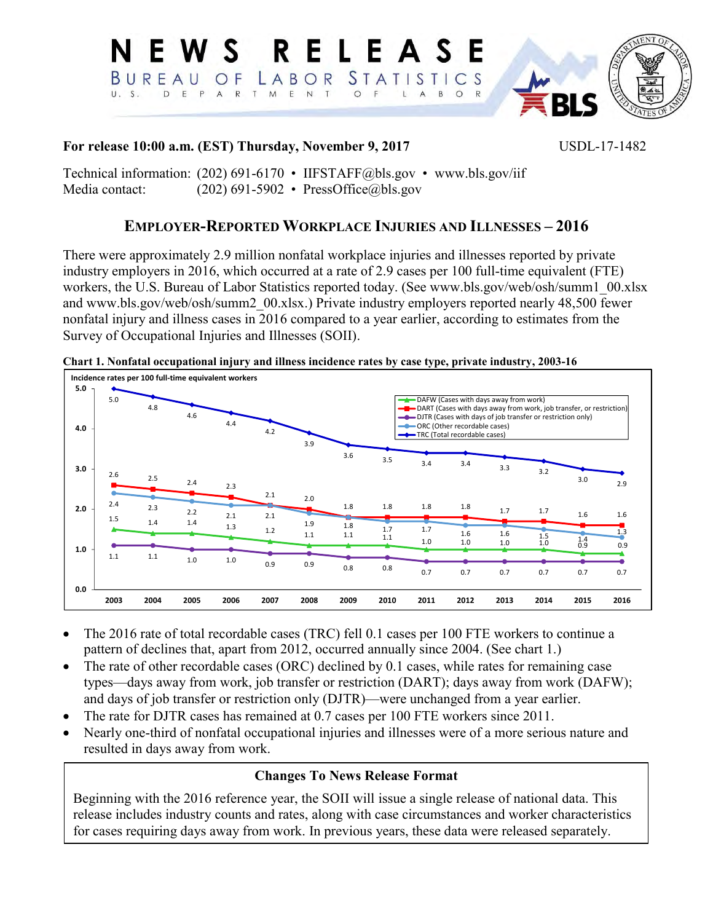

### **For release 10:00 a.m. (EST) Thursday, November 9, 2017** USDL-17-1482

Technical information: (202) 691-6170 • IIFSTAFF@bls.gov • [www.bls.gov/iif](file://Ocspapps1/final_osh/Annual_Survey/2016/News_release/drafts/www.bls.gov/iif)  Media contact: (202) 691-5902 • [PressOffice@bls.gov](mailto:PressOffice@bls.gov)

# **EMPLOYER-REPORTED WORKPLACE INJURIES AND ILLNESSES – 2016**

There were approximately 2.9 million nonfatal workplace injuries and illnesses reported by private industry employers in 2016, which occurred at a rate of 2.9 cases per 100 full-time equivalent (FTE) workers, the U.S. Bureau of Labor Statistics reported today. (See [www.bls.gov/web/osh/summ1\\_00.xlsx](http://www.bls.gov/web/osh/summ1_00.xlsx) and [www.bls.gov/web/osh/summ2\\_00.xlsx.](http://www.bls.gov/web/osh/summ2_00.xlsx)) Private industry employers reported nearly 48,500 fewer nonfatal injury and illness cases in 2016 compared to a year earlier, according to estimates from the Survey of Occupational Injuries and Illnesses (SOII).

1.5 1.4 1.4 <sup>2.1</sup> 2.1 1.9 1.8 1.7 1.7 1.6 1.5 1.5 1.3 1.4 1.4 1.3 1.2 1.1 1.1 1.1 1.1 1.1 1.0 1.0 1.0 1.0 0.9  $2.5$  2.4 2.3 2.1  $2.0$ 1.8 1.8 1.8 1.8 1.7 1.7 1.6 1.6 1.1 1.1 1.0 1.0 0.9 0.9 0.8 0.8 0.7 0.7 0.7 0.7 0.7 0.7  $2.3$  2.2  $2.1$  2.1 1.9 1.8 1.7 1.7 1.6 1.6 1.5 1.4<br>1.1 1.1 1.1 1.0 1.0 1.6 1.5 1.4  $\frac{1}{1.3}$ 5.0 4.8 4.6 4.4 4.2 3.9 3.6 3.5 3.4 3.4 3.3 3.2  $3.0$   $2.9$ **0.0 1.0 2.0 3.0 4.0 5.0 2003 2004 2005 2006 2007 2008 2009 2010 2011 2012 2013 2014 2015 2016** DAFW (Cases with days away from work) DART (Cases with days away from work, job transfer, or restriction) DJTR (Cases with days of job transfer or restriction only) ORC (Other recordable cases) TRC (Total recordable cases) **Incidence rates per 100 full-time equivalent workers**

**Chart 1. Nonfatal occupational injury and illness incidence rates by case type, private industry, 2003-16**

- The 2016 rate of total recordable cases (TRC) fell 0.1 cases per 100 FTE workers to continue a pattern of declines that, apart from 2012, occurred annually since 2004. (See chart 1.)
- The rate of other recordable cases (ORC) declined by 0.1 cases, while rates for remaining case types—days away from work, job transfer or restriction (DART); days away from work (DAFW); and days of job transfer or restriction only (DJTR)—were unchanged from a year earlier.
- The rate for DJTR cases has remained at 0.7 cases per 100 FTE workers since 2011.
- Nearly one-third of nonfatal occupational injuries and illnesses were of a more serious nature and resulted in days away from work.

## **Changes To News Release Format**

Beginning with the 2016 reference year, the SOII will issue a single release of national data. This release includes industry counts and rates, along with case circumstances and worker characteristics for cases requiring days away from work. In previous years, these data were released separately.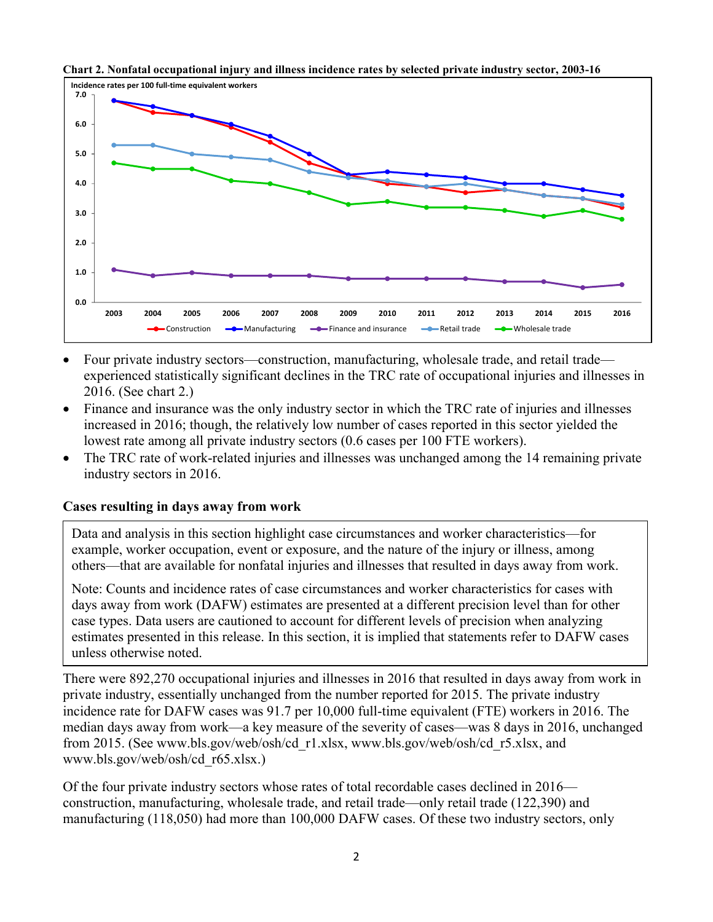



- Four private industry sectors—construction, manufacturing, wholesale trade, and retail trade experienced statistically significant declines in the TRC rate of occupational injuries and illnesses in 2016. (See chart 2.)
- Finance and insurance was the only industry sector in which the TRC rate of injuries and illnesses increased in 2016; though, the relatively low number of cases reported in this sector yielded the lowest rate among all private industry sectors (0.6 cases per 100 FTE workers).
- The TRC rate of work-related injuries and illnesses was unchanged among the 14 remaining private industry sectors in 2016.

#### **Cases resulting in days away from work**

Data and analysis in this section highlight case circumstances and worker characteristics—for example, worker occupation, event or exposure, and the nature of the injury or illness, among others—that are available for nonfatal injuries and illnesses that resulted in days away from work.

Note: Counts and incidence rates of case circumstances and worker characteristics for cases with days away from work (DAFW) estimates are presented at a different precision level than for other case types. Data users are cautioned to account for different levels of precision when analyzing estimates presented in this release. In this section, it is implied that statements refer to DAFW cases unless otherwise noted.

There were 892,270 occupational injuries and illnesses in 2016 that resulted in days away from work in private industry, essentially unchanged from the number reported for 2015. The private industry incidence rate for DAFW cases was 91.7 per 10,000 full-time equivalent (FTE) workers in 2016. The median days away from work—a key measure of the severity of cases—was 8 days in 2016, unchanged from 2015. (See [www.bls.gov/web/osh/cd\\_r1.xlsx,](https://www.bls.gov/web/osh/cd_r1.xlsx) [www.bls.gov/web/osh/cd\\_r5.xlsx,](https://www.bls.gov/web/osh/cd_r5.xlsx) and [www.bls.gov/web/osh/cd\\_r65.xlsx.](https://www.bls.gov/web/osh/cd_r65.xlsx))

Of the four private industry sectors whose rates of total recordable cases declined in 2016 construction, manufacturing, wholesale trade, and retail trade—only retail trade (122,390) and manufacturing (118,050) had more than 100,000 DAFW cases. Of these two industry sectors, only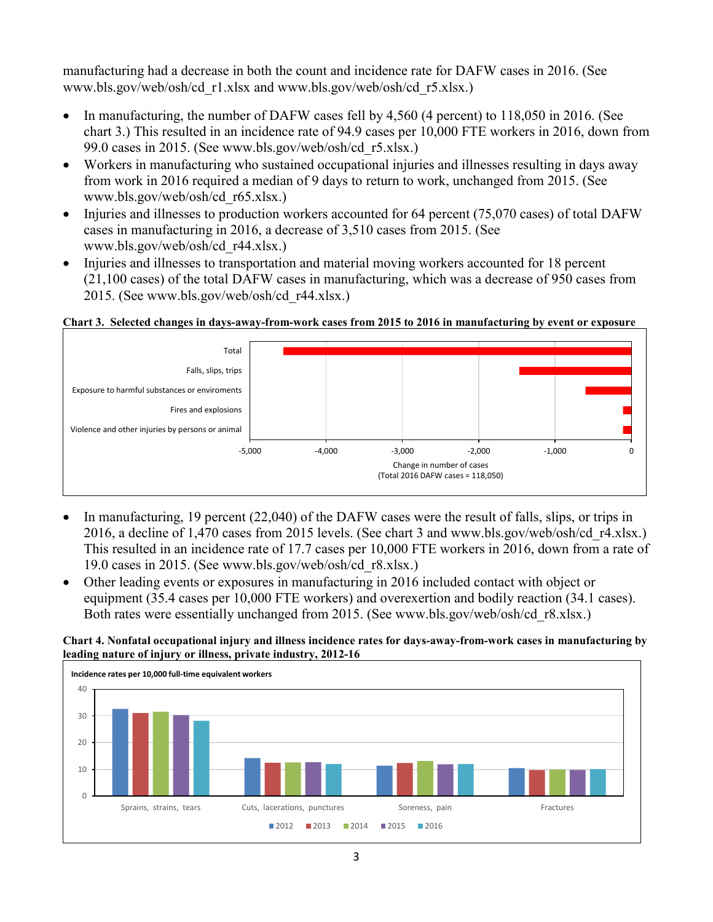manufacturing had a decrease in both the count and incidence rate for DAFW cases in 2016. (See [www.bls.gov/web/osh/cd\\_r1.xlsx](https://www.bls.gov/web/osh/cd_r1.xlsx) and [www.bls.gov/web/osh/cd\\_r5.xlsx.](https://www.bls.gov/web/osh/cd_r5.xlsx))

- In manufacturing, the number of DAFW cases fell by 4,560 (4 percent) to 118,050 in 2016. (See chart 3.) This resulted in an incidence rate of 94.9 cases per 10,000 FTE workers in 2016, down from 99.0 cases in 2015. (See [www.bls.gov/web/osh/cd\\_r5.xlsx.](https://www.bls.gov/web/osh/cd_r5.xlsx))
- Workers in manufacturing who sustained occupational injuries and illnesses resulting in days away from work in 2016 required a median of 9 days to return to work, unchanged from 2015. (See [www.bls.gov/web/osh/cd\\_r65.xlsx.](https://www.bls.gov/web/osh/cd_r65.xlsx))
- Injuries and illnesses to production workers accounted for 64 percent (75,070 cases) of total DAFW cases in manufacturing in 2016, a decrease of 3,510 cases from 2015. (See [www.bls.gov/web/osh/cd\\_r44.xlsx.](https://www.bls.gov/web/osh/cd_r44.xlsx))
- Injuries and illnesses to transportation and material moving workers accounted for 18 percent (21,100 cases) of the total DAFW cases in manufacturing, which was a decrease of 950 cases from 2015. (See [www.bls.gov/web/osh/cd\\_r44.xlsx.](https://www.bls.gov/web/osh/cd_r44.xlsx))

### **Chart 3. Selected changes in days-away-from-work cases from 2015 to 2016 in manufacturing by event or exposure**



- In manufacturing, 19 percent (22,040) of the DAFW cases were the result of falls, slips, or trips in 2016, a decline of 1,470 cases from 2015 levels. (See chart 3 and [www.bls.gov/web/osh/cd\\_r4.xlsx.](https://www.bls.gov/web/osh/cd_r4.xlsx)) This resulted in an incidence rate of 17.7 cases per 10,000 FTE workers in 2016, down from a rate of 19.0 cases in 2015. (See [www.bls.gov/web/osh/cd\\_r8.xlsx.](https://www.bls.gov/web/osh/cd_r8.xlsx))
- Other leading events or exposures in manufacturing in 2016 included contact with object or equipment (35.4 cases per 10,000 FTE workers) and overexertion and bodily reaction (34.1 cases). Both rates were essentially unchanged from 2015. (See [www.bls.gov/web/osh/cd\\_r8.xlsx.](https://www.bls.gov/web/osh/cd_r8.xlsx))

#### **Chart 4. Nonfatal occupational injury and illness incidence rates for days-away-from-work cases in manufacturing by leading nature of injury or illness, private industry, 2012-16**